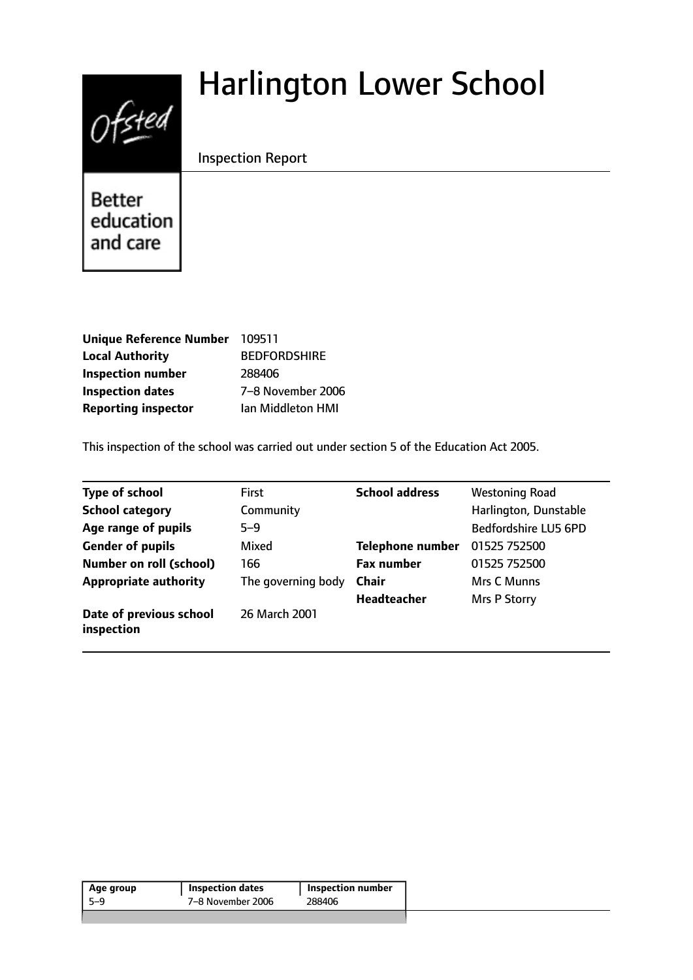# Harlington Lower School



Inspection Report

Better education and care

| Unique Reference Number 109511 |                     |
|--------------------------------|---------------------|
| <b>Local Authority</b>         | <b>BEDFORDSHIRE</b> |
| <b>Inspection number</b>       | 288406              |
| <b>Inspection dates</b>        | 7-8 November 2006   |
| <b>Reporting inspector</b>     | Ian Middleton HMI   |

This inspection of the school was carried out under section 5 of the Education Act 2005.

| <b>Type of school</b>                 | <b>First</b>       | <b>School address</b>   | <b>Westoning Road</b> |
|---------------------------------------|--------------------|-------------------------|-----------------------|
| <b>School category</b>                | Community          |                         | Harlington, Dunstable |
| Age range of pupils                   | $5 - 9$            |                         | Bedfordshire LU5 6PD  |
| <b>Gender of pupils</b>               | Mixed              | <b>Telephone number</b> | 01525 752500          |
| <b>Number on roll (school)</b>        | 166                | <b>Fax number</b>       | 01525 752500          |
| <b>Appropriate authority</b>          | The governing body | <b>Chair</b>            | Mrs C Munns           |
|                                       |                    | <b>Headteacher</b>      | Mrs P Storry          |
| Date of previous school<br>inspection | 26 March 2001      |                         |                       |

| Age group | <b>Inspection dates</b> | <b>Inspection number</b> |
|-----------|-------------------------|--------------------------|
| -5–9      | 7-8 November 2006       | 288406                   |
|           |                         |                          |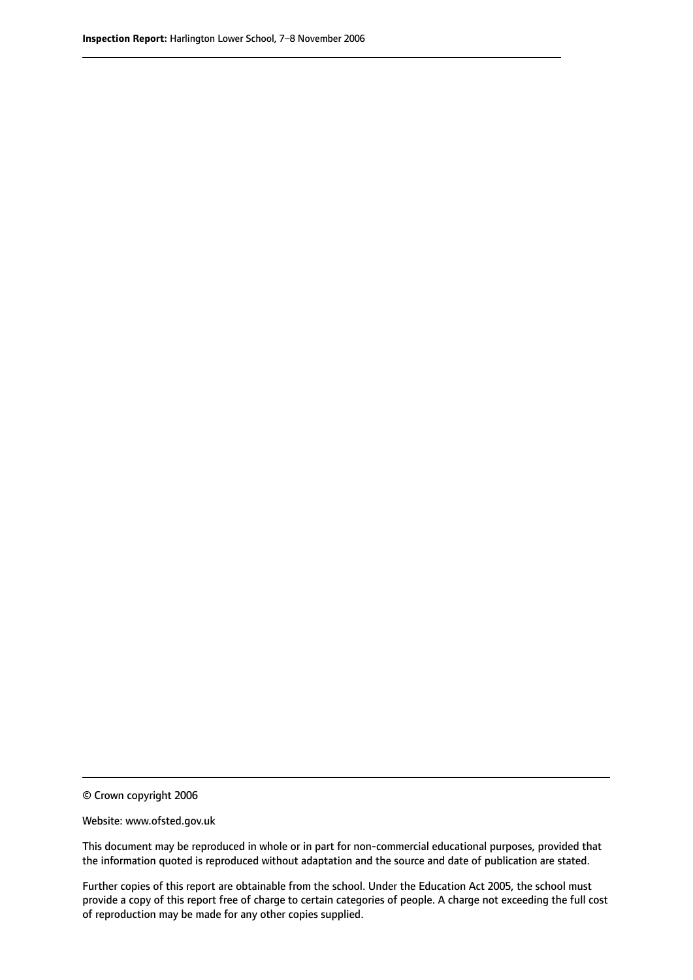© Crown copyright 2006

Website: www.ofsted.gov.uk

This document may be reproduced in whole or in part for non-commercial educational purposes, provided that the information quoted is reproduced without adaptation and the source and date of publication are stated.

Further copies of this report are obtainable from the school. Under the Education Act 2005, the school must provide a copy of this report free of charge to certain categories of people. A charge not exceeding the full cost of reproduction may be made for any other copies supplied.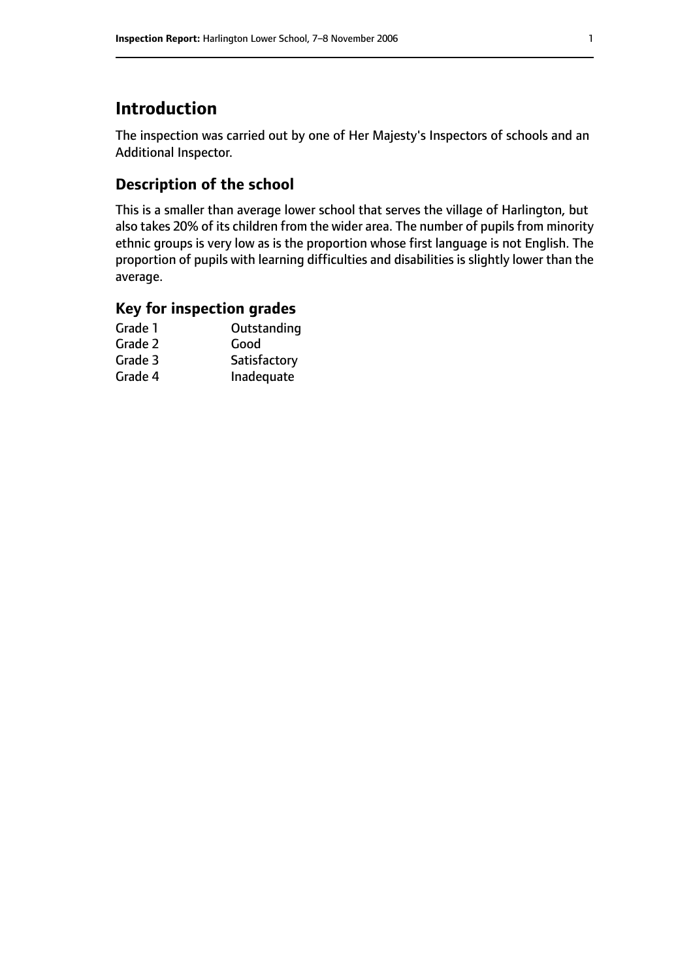# **Introduction**

The inspection was carried out by one of Her Majesty's Inspectors of schools and an Additional Inspector.

# **Description of the school**

This is a smaller than average lower school that serves the village of Harlington, but also takes 20% of its children from the wider area. The number of pupils from minority ethnic groups is very low as is the proportion whose first language is not English. The proportion of pupils with learning difficulties and disabilities is slightly lower than the average.

### **Key for inspection grades**

| Grade 1 | Outstanding  |
|---------|--------------|
| Grade 2 | Good         |
| Grade 3 | Satisfactory |
| Grade 4 | Inadequate   |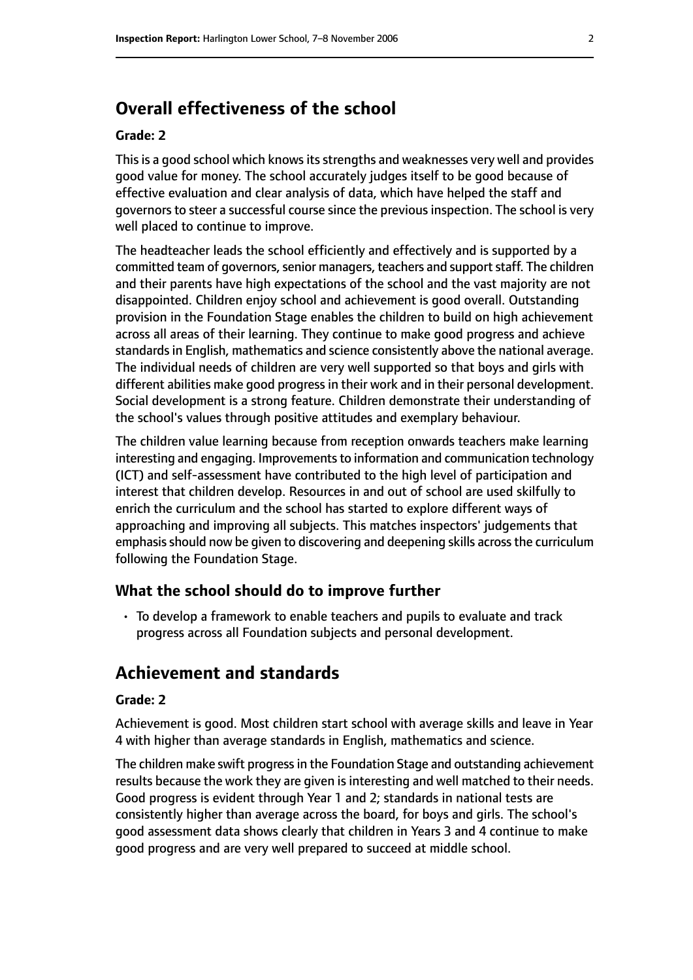# **Overall effectiveness of the school**

#### **Grade: 2**

This is a good school which knows its strengths and weaknesses very well and provides good value for money. The school accurately judges itself to be good because of effective evaluation and clear analysis of data, which have helped the staff and governors to steer a successful course since the previous inspection. The school is very well placed to continue to improve.

The headteacher leads the school efficiently and effectively and is supported by a committed team of governors, senior managers, teachers and support staff. The children and their parents have high expectations of the school and the vast majority are not disappointed. Children enjoy school and achievement is good overall. Outstanding provision in the Foundation Stage enables the children to build on high achievement across all areas of their learning. They continue to make good progress and achieve standards in English, mathematics and science consistently above the national average. The individual needs of children are very well supported so that boys and girls with different abilities make good progress in their work and in their personal development. Social development is a strong feature. Children demonstrate their understanding of the school's values through positive attitudes and exemplary behaviour.

The children value learning because from reception onwards teachers make learning interesting and engaging. Improvements to information and communication technology (ICT) and self-assessment have contributed to the high level of participation and interest that children develop. Resources in and out of school are used skilfully to enrich the curriculum and the school has started to explore different ways of approaching and improving all subjects. This matches inspectors' judgements that emphasis should now be given to discovering and deepening skills across the curriculum following the Foundation Stage.

#### **What the school should do to improve further**

• To develop a framework to enable teachers and pupils to evaluate and track progress across all Foundation subjects and personal development.

## **Achievement and standards**

#### **Grade: 2**

Achievement is good. Most children start school with average skills and leave in Year 4 with higher than average standards in English, mathematics and science.

The children make swift progress in the Foundation Stage and outstanding achievement results because the work they are given is interesting and well matched to their needs. Good progress is evident through Year 1 and 2; standards in national tests are consistently higher than average across the board, for boys and girls. The school's good assessment data shows clearly that children in Years 3 and 4 continue to make good progress and are very well prepared to succeed at middle school.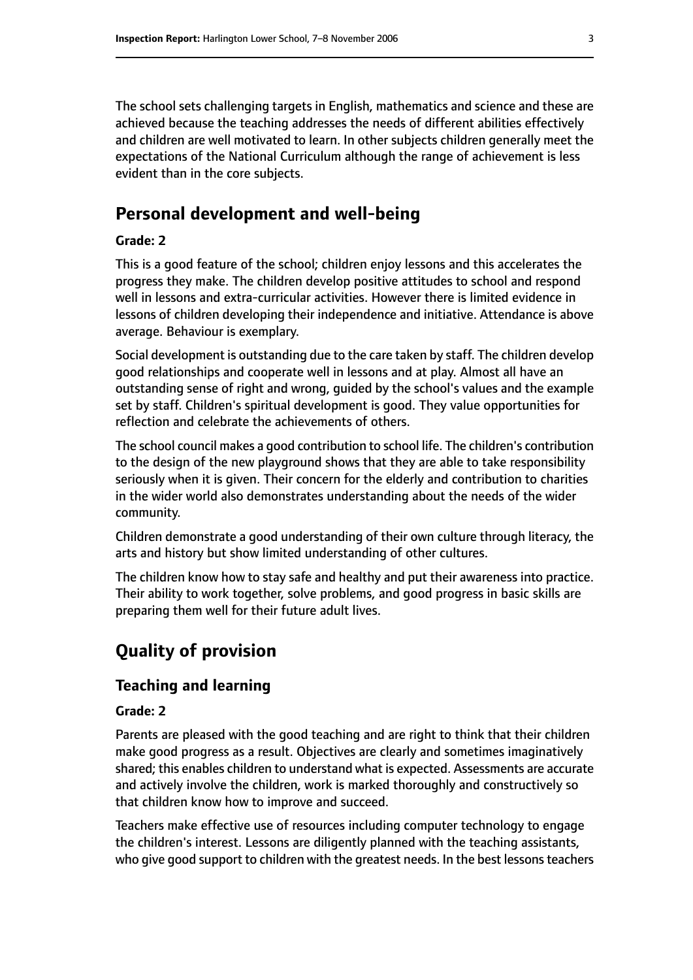The school sets challenging targets in English, mathematics and science and these are achieved because the teaching addresses the needs of different abilities effectively and children are well motivated to learn. In other subjects children generally meet the expectations of the National Curriculum although the range of achievement is less evident than in the core subjects.

# **Personal development and well-being**

#### **Grade: 2**

This is a good feature of the school; children enjoy lessons and this accelerates the progress they make. The children develop positive attitudes to school and respond well in lessons and extra-curricular activities. However there is limited evidence in lessons of children developing their independence and initiative. Attendance is above average. Behaviour is exemplary.

Social development is outstanding due to the care taken by staff. The children develop good relationships and cooperate well in lessons and at play. Almost all have an outstanding sense of right and wrong, guided by the school's values and the example set by staff. Children's spiritual development is good. They value opportunities for reflection and celebrate the achievements of others.

The school council makes a good contribution to school life. The children's contribution to the design of the new playground shows that they are able to take responsibility seriously when it is given. Their concern for the elderly and contribution to charities in the wider world also demonstrates understanding about the needs of the wider community.

Children demonstrate a good understanding of their own culture through literacy, the arts and history but show limited understanding of other cultures.

The children know how to stay safe and healthy and put their awareness into practice. Their ability to work together, solve problems, and good progress in basic skills are preparing them well for their future adult lives.

# **Quality of provision**

## **Teaching and learning**

#### **Grade: 2**

Parents are pleased with the good teaching and are right to think that their children make good progress as a result. Objectives are clearly and sometimes imaginatively shared; this enables children to understand what is expected. Assessments are accurate and actively involve the children, work is marked thoroughly and constructively so that children know how to improve and succeed.

Teachers make effective use of resources including computer technology to engage the children's interest. Lessons are diligently planned with the teaching assistants, who give good support to children with the greatest needs. In the best lessons teachers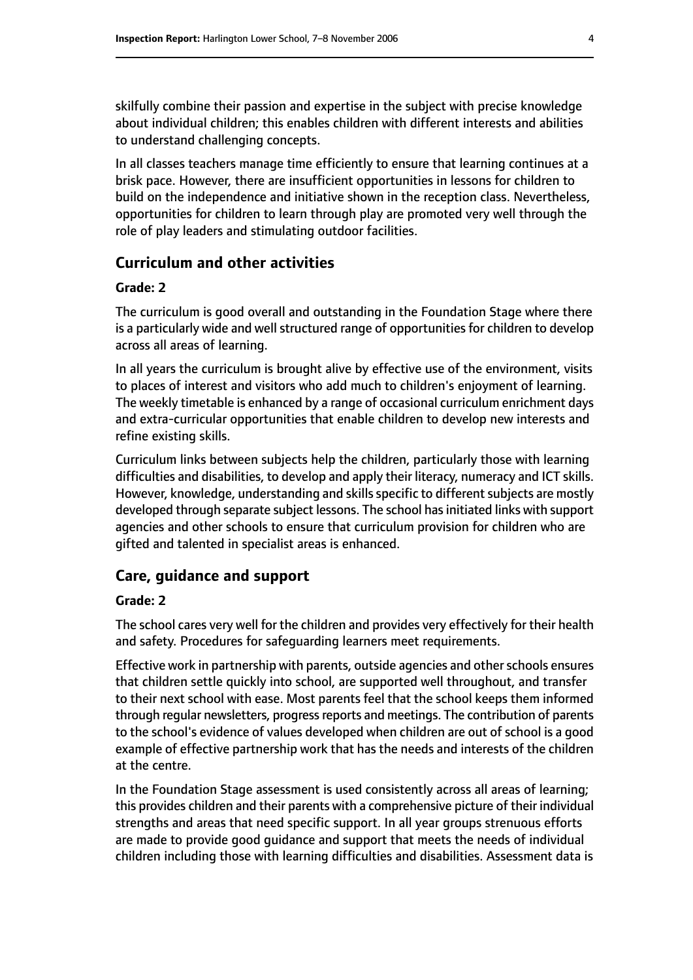skilfully combine their passion and expertise in the subject with precise knowledge about individual children; this enables children with different interests and abilities to understand challenging concepts.

In all classes teachers manage time efficiently to ensure that learning continues at a brisk pace. However, there are insufficient opportunities in lessons for children to build on the independence and initiative shown in the reception class. Nevertheless, opportunities for children to learn through play are promoted very well through the role of play leaders and stimulating outdoor facilities.

#### **Curriculum and other activities**

#### **Grade: 2**

The curriculum is good overall and outstanding in the Foundation Stage where there is a particularly wide and well structured range of opportunities for children to develop across all areas of learning.

In all years the curriculum is brought alive by effective use of the environment, visits to places of interest and visitors who add much to children's enjoyment of learning. The weekly timetable is enhanced by a range of occasional curriculum enrichment days and extra-curricular opportunities that enable children to develop new interests and refine existing skills.

Curriculum links between subjects help the children, particularly those with learning difficulties and disabilities, to develop and apply their literacy, numeracy and ICT skills. However, knowledge, understanding and skills specific to different subjects are mostly developed through separate subject lessons. The school has initiated links with support agencies and other schools to ensure that curriculum provision for children who are gifted and talented in specialist areas is enhanced.

#### **Care, guidance and support**

#### **Grade: 2**

The school cares very well for the children and provides very effectively for their health and safety. Procedures for safeguarding learners meet requirements.

Effective work in partnership with parents, outside agencies and otherschools ensures that children settle quickly into school, are supported well throughout, and transfer to their next school with ease. Most parents feel that the school keeps them informed through regular newsletters, progress reports and meetings. The contribution of parents to the school's evidence of values developed when children are out of school is a good example of effective partnership work that has the needs and interests of the children at the centre.

In the Foundation Stage assessment is used consistently across all areas of learning; this provides children and their parents with a comprehensive picture of their individual strengths and areas that need specific support. In all year groups strenuous efforts are made to provide good guidance and support that meets the needs of individual children including those with learning difficulties and disabilities. Assessment data is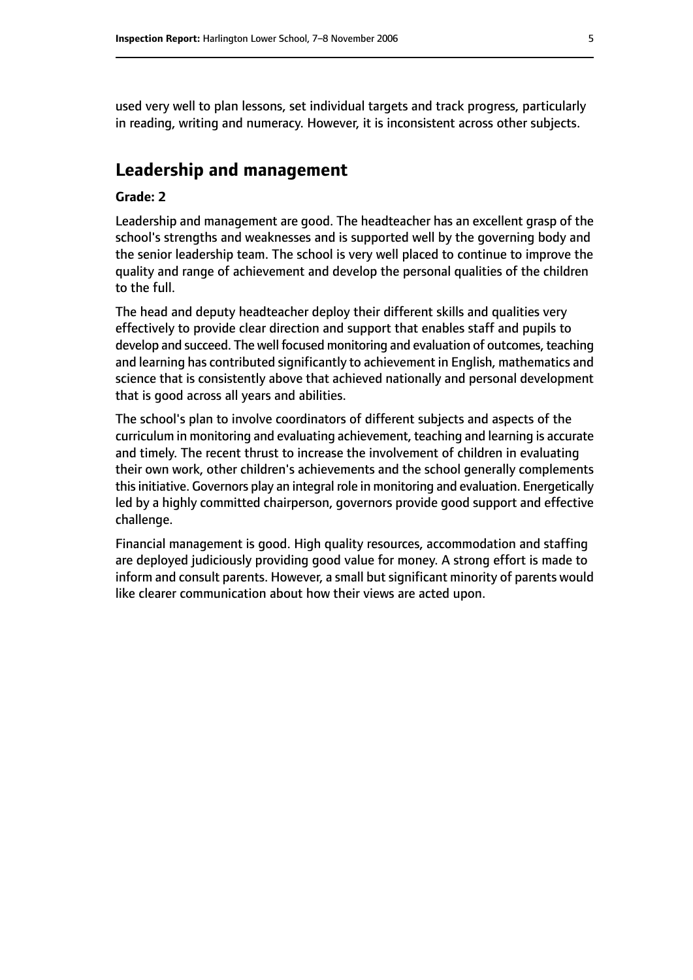used very well to plan lessons, set individual targets and track progress, particularly in reading, writing and numeracy. However, it is inconsistent across other subjects.

## **Leadership and management**

#### **Grade: 2**

Leadership and management are good. The headteacher has an excellent grasp of the school's strengths and weaknesses and is supported well by the governing body and the senior leadership team. The school is very well placed to continue to improve the quality and range of achievement and develop the personal qualities of the children to the full.

The head and deputy headteacher deploy their different skills and qualities very effectively to provide clear direction and support that enables staff and pupils to develop and succeed. The well focused monitoring and evaluation of outcomes, teaching and learning has contributed significantly to achievement in English, mathematics and science that is consistently above that achieved nationally and personal development that is good across all years and abilities.

The school's plan to involve coordinators of different subjects and aspects of the curriculum in monitoring and evaluating achievement, teaching and learning is accurate and timely. The recent thrust to increase the involvement of children in evaluating their own work, other children's achievements and the school generally complements this initiative. Governors play an integral role in monitoring and evaluation. Energetically led by a highly committed chairperson, governors provide good support and effective challenge.

Financial management is good. High quality resources, accommodation and staffing are deployed judiciously providing good value for money. A strong effort is made to inform and consult parents. However, a small but significant minority of parents would like clearer communication about how their views are acted upon.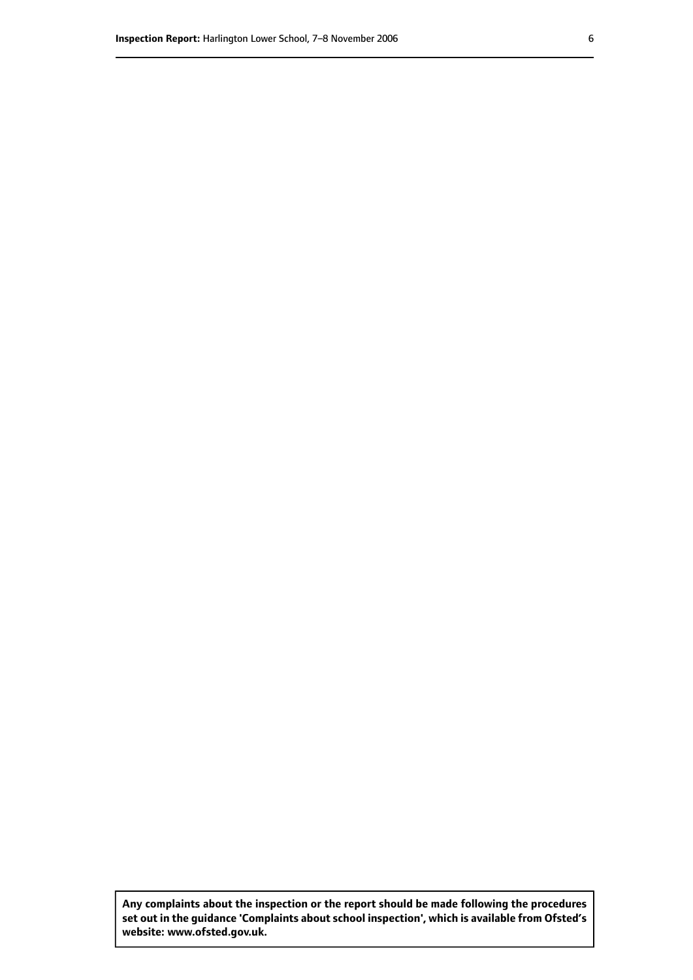**Any complaints about the inspection or the report should be made following the procedures set out inthe guidance 'Complaints about school inspection', whichis available from Ofsted's website: www.ofsted.gov.uk.**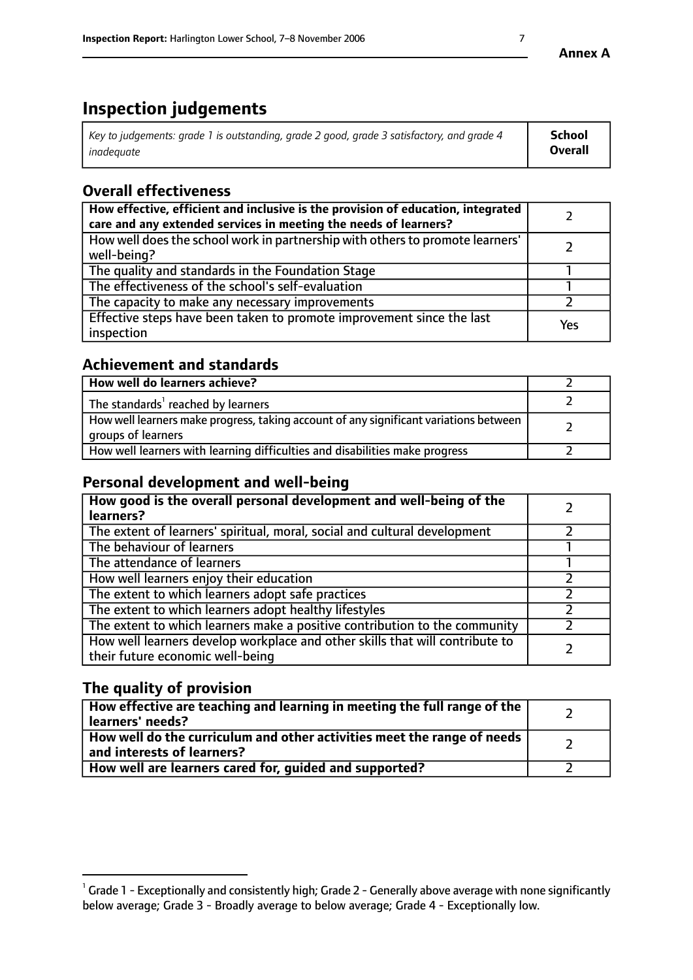# **Inspection judgements**

| Key to judgements: grade 1 is outstanding, grade 2 good, grade 3 satisfactory, and grade 4 | School         |
|--------------------------------------------------------------------------------------------|----------------|
| inadeauate                                                                                 | <b>Overall</b> |

# **Overall effectiveness**

| How effective, efficient and inclusive is the provision of education, integrated<br>care and any extended services in meeting the needs of learners? |     |
|------------------------------------------------------------------------------------------------------------------------------------------------------|-----|
| How well does the school work in partnership with others to promote learners'<br>well-being?                                                         |     |
| The quality and standards in the Foundation Stage                                                                                                    |     |
| The effectiveness of the school's self-evaluation                                                                                                    |     |
| The capacity to make any necessary improvements                                                                                                      |     |
| Effective steps have been taken to promote improvement since the last<br>inspection                                                                  | Yes |

# **Achievement and standards**

| How well do learners achieve?                                                                               |  |
|-------------------------------------------------------------------------------------------------------------|--|
| The standards <sup>1</sup> reached by learners                                                              |  |
| How well learners make progress, taking account of any significant variations between<br>groups of learners |  |
| How well learners with learning difficulties and disabilities make progress                                 |  |

## **Personal development and well-being**

| How good is the overall personal development and well-being of the<br>learners?                                  |  |
|------------------------------------------------------------------------------------------------------------------|--|
| The extent of learners' spiritual, moral, social and cultural development                                        |  |
| The behaviour of learners                                                                                        |  |
| The attendance of learners                                                                                       |  |
| How well learners enjoy their education                                                                          |  |
| The extent to which learners adopt safe practices                                                                |  |
| The extent to which learners adopt healthy lifestyles                                                            |  |
| The extent to which learners make a positive contribution to the community                                       |  |
| How well learners develop workplace and other skills that will contribute to<br>their future economic well-being |  |

# **The quality of provision**

| How effective are teaching and learning in meeting the full range of the<br>learners' needs?          |  |
|-------------------------------------------------------------------------------------------------------|--|
| How well do the curriculum and other activities meet the range of needs<br>and interests of learners? |  |
| How well are learners cared for, guided and supported?                                                |  |

 $^1$  Grade 1 - Exceptionally and consistently high; Grade 2 - Generally above average with none significantly below average; Grade 3 - Broadly average to below average; Grade 4 - Exceptionally low.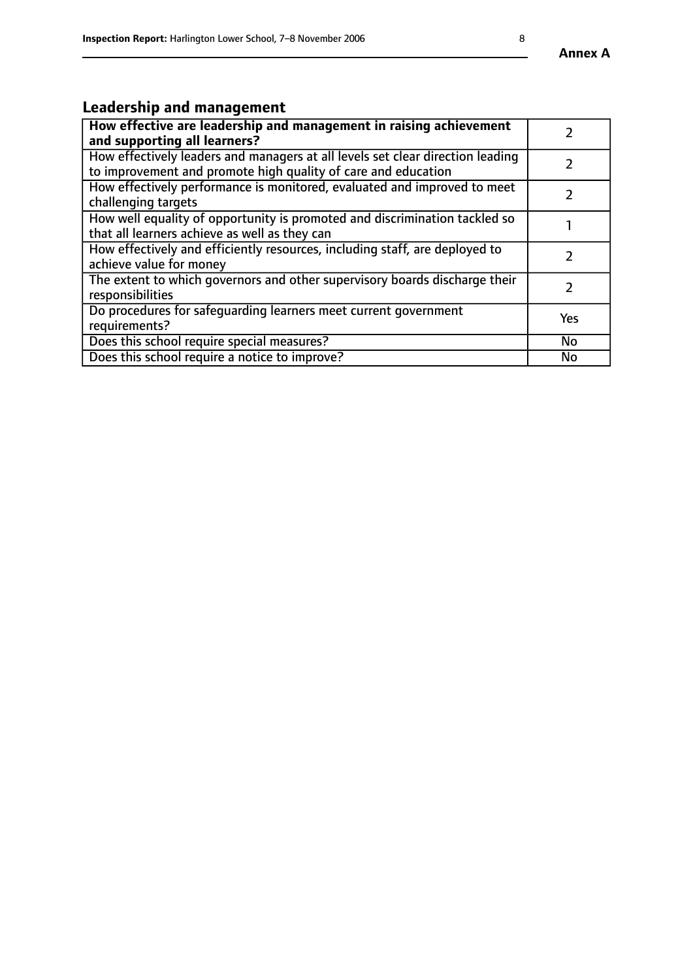# **Leadership and management**

| How effective are leadership and management in raising achievement<br>and supporting all learners?                                              |           |
|-------------------------------------------------------------------------------------------------------------------------------------------------|-----------|
| How effectively leaders and managers at all levels set clear direction leading<br>to improvement and promote high quality of care and education |           |
| How effectively performance is monitored, evaluated and improved to meet<br>challenging targets                                                 |           |
| How well equality of opportunity is promoted and discrimination tackled so<br>that all learners achieve as well as they can                     |           |
| How effectively and efficiently resources, including staff, are deployed to<br>achieve value for money                                          |           |
| The extent to which governors and other supervisory boards discharge their<br>responsibilities                                                  |           |
| Do procedures for safequarding learners meet current government<br>requirements?                                                                | Yes       |
| Does this school require special measures?                                                                                                      | <b>No</b> |
| Does this school require a notice to improve?                                                                                                   | <b>No</b> |